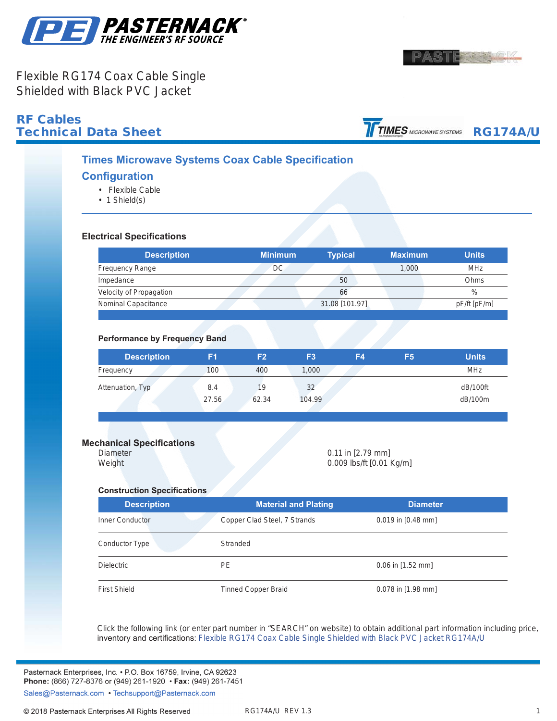



Flexible RG174 Coax Cable Single Shielded with Black PVC Jacket

# **RF Cables<br>Technical Data Sheet**

**.**

TIMES MICROWAVE SYSTEMS RG174A/U

### **Times Microwave Systems Coax Cable Specification**

#### **Configuration**

- Flexible Cable
- 1 Shield(s)

#### **Electrical Specifications**

| <b>Description</b>      | <b>Minimum</b> | <b>Typical</b> | <b>Maximum</b> | <b>Units</b> |
|-------------------------|----------------|----------------|----------------|--------------|
| <b>Frequency Range</b>  | DC             |                | 1,000          | <b>MHz</b>   |
| Impedance               |                | 50             |                | Ohms         |
| Velocity of Propagation |                | 66             |                | $\%$         |
| Nominal Capacitance     |                | 31.08 [101.97] |                | pF/ft [pF/m] |

#### **Performance by Frequency Band**

| <b>Description</b> | F1    | F2    | F <sub>3</sub> | F4 | F <sub>5</sub> | <b>Units</b> |
|--------------------|-------|-------|----------------|----|----------------|--------------|
| Frequency          | 100   | 400   | 1,000          |    |                | <b>MHz</b>   |
| Attenuation, Typ   | 8.4   | 19    | 32             |    |                | dB/100ft     |
|                    | 27.56 | 62.34 | 104.99         |    |                | dB/100m      |

#### **Mechanical Specifications**

Diameter 0.11 in [2.79 mm] Weight 0.009 lbs/ft [0.01 Kg/m]

#### **Construction Specifications**

| <b>Description</b>  | <b>Material and Plating</b>  | <b>Diameter</b>      |
|---------------------|------------------------------|----------------------|
| Inner Conductor     | Copper Clad Steel, 7 Strands | $0.019$ in [0.48 mm] |
| Conductor Type      | Stranded                     |                      |
| <b>Dielectric</b>   | <b>PE</b>                    | $0.06$ in [1.52 mm]  |
| <b>First Shield</b> | <b>Tinned Copper Braid</b>   | 0.078 in [1.98 mm]   |

Click the following link (or enter part number in "SEARCH" on website) to obtain additional part information including price, inventory and certifications: [Flexible RG174 Coax Cable Single Shielded with Black PVC Jacket](https://www.pasternack.com/flexible-0.100-rg174-50-ohm-coax-cable-pvc-jacket-rg174a-u-p.aspx) [RG174A/U](https://www.pasternack.com/flexible-0.100-rg174-50-ohm-coax-cable-pvc-jacket-rg174a-u-p.aspx)

Pasternack Enterprises, Inc. • P.O. Box 16759, Irvine, CA 92623 Phone: (866) 727-8376 or (949) 261-1920 • Fax: (949) 261-7451 Sales@Pasternack.com • Techsupport@Pasternack.com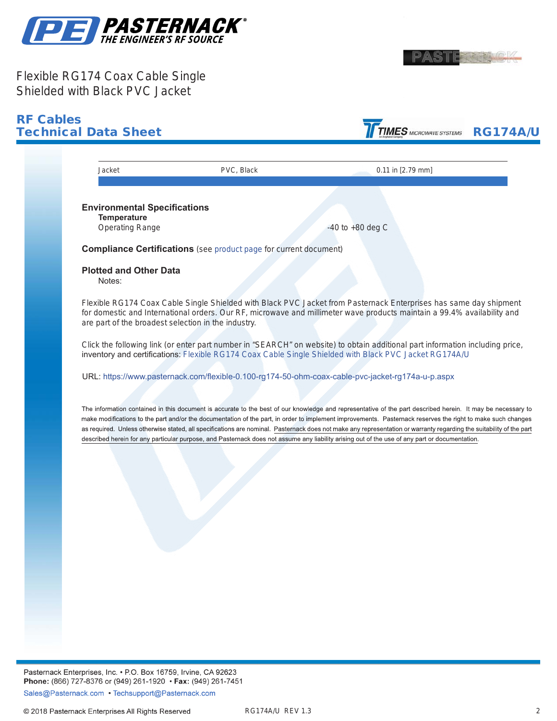



## Flexible RG174 Coax Cable Single Shielded with Black PVC Jacket



Pasternack Enterprises, Inc. • P.O. Box 16759, Irvine, CA 92623 Phone: (866) 727-8376 or (949) 261-1920 • Fax: (949) 261-7451 Sales@Pasternack.com • Techsupport@Pasternack.com